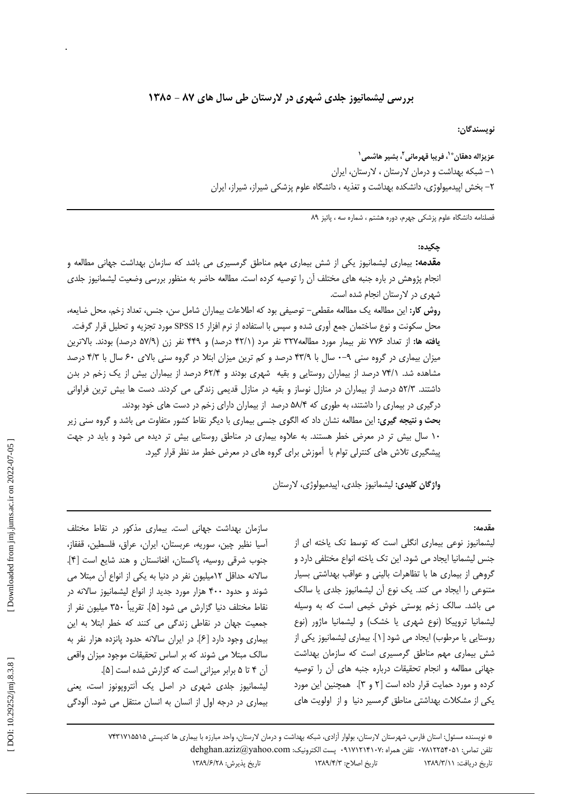## بررسی لیشمانیوز جلدی شهری در لارستان طی سال های ۸۷ - ۱۳۸۵

نويسندگان:

عزيزاله دهقان®`، فريبا قهرماني<sup>7</sup>، بشير هاشمي` ۰۱ شبکه بهداشت و درمان لارستان ، لارستان، ایران ۲– بخش اپیدمیولوژی، دانشکده بهداشت و تغذیه ، دانشگاه علوم پزشکی شیراز، شیراز، ایران

فصلنامه دانشگاه علوم پزشکی جهرم، دوره هشتم ، شماره سه ، پائیز ۸۹

#### حكىدە:

**مقدمه:** بیماری لیشمانیوز یکی از شش بیماری مهم مناطق گرمسیری می باشد که سازمان بهداشت جهانی مطالعه و انجام پژوهش در باره جنبه های مختلف آن را توصیه کرده است. مطالعه حاضر به منظور بررسی وضعیت لیشمانیوز جلدی شهری در لارستان انجام شده است.

روش كار: اين مطالعه يك مطالعه مقطعي- توصيفي بود كه اطلاعات بيماران شامل سن، جنس، تعداد زخم، محل ضايعه، محل سکونت و نوع ساختمان جمع اَوري شده و سپس با استفاده از نرم افزار SPSS 15 مورد تجزيه و تحليل قرار گرفت. يافته ها: از تعداد ٧٧۶ نفر بيمار مورد مطالعه٣٢٧ نفر مرد (۴٢/١ درصد) و ۴۴۹ نفر زن (۵٧/٩ درصد) بودند. بالاترين میزان بیماری در گروه سنی ۹–۰ سال با ۴۳/۹ درصد و کم ترین میزان ابتلا در گروه سنی بالای ۶۰ سال با ۴/۳ درصد مشاهده شد. ۷۴/۱ درصد از بیماران روستایی و بقیه شهری بودند و ۶۲/۴ درصد از بیماران بیش از یک زخم در بدن داشتند. ۵۲/۳ درصد از بیماران در منازل نوساز و بقیه در منازل قدیمی زندگی می کردند. دست ها بیش ترین فراوانی درگیری در بیماری را داشتند، به طوری که ۵۸/۴ درصد از بیماران دارای زخم در دست های خود بودند. بحث و نتیجه گیری: این مطالعه نشان داد که الگوی جنسی بیماری با دیگر نقاط کشور متفاوت می باشد و گروه سنی زیر

١٠ سال بيش تر در معرض خطر هستند. به علاوه بيمارى در مناطق روستايي بيش تر ديده مي شود و بايد در جهت پیشگیری تلاش های کنترلی توام با آموزش برای گروه های در معرض خطر مد نظر قرار گیرد.

واژگان کلیدی: لیشمانیوز جلدی، اییدمیولوژی، لارستان

#### $4.19.$

لیشمانیوز نوعی بیماری انگلی است که توسط تک یاخته ای از جنس لیشمانیا ایجاد می شود. این تک یاخته انواع مختلفی دارد و گروهی از بیماری ها با تظاهرات بالینی و عواقب بهداشتی بسیار متنوعی را ایجاد می کند. یک نوع آن لیشمانیوز جلدی یا سالک می باشد. سالک زخم پوستی خوش خیمی است که به وسیله لیشمانیا تروپیکا (نوع شهری یا خشک) و لیشمانیا ماژور (نوع روستایی یا مرطوب) ایجاد می شود [۱]. بیماری لیشمانیوز یکی از شش بیماری مهم مناطق گرمسیری است که سازمان بهداشت جهانی مطالعه و انجام تحقیقات درباره جنبه های آن را توصیه كرده و مورد حمايت قرار داده است [٢ و ٣]. همچنين اين مورد یکی از مشکلات بهداشتی مناطق گرمسیر دنیا و از اولویت های

سازمان بهداشت جهانی است. بیماری مذکور در نقاط مختلف آسيا نظير چين، سوريه، عربستان، ايران، عراق، فلسطين، قفقاز، جنوب شرقي روسيه، پاكستان، افغانستان و هند شايع است [۴]. سالانه حداقل ١٢ميليون نفر در دنيا به يكي از انواع آن مبتلا مي شوند و حدود ۴۰۰ هزار مورد جدید از انواع لیشمانیوز سالانه در نقاط مختلف دنيا گزارش مي شود [۵]. تقريباً ۳۵۰ ميليون نفر از جمعیت جهان در نقاطی زندگی می کنند که خطر ابتلا به این بیماری وجود دارد [۶]. در ایران سالانه حدود پانزده هزار نفر به سالک مبتلا می شوند که بر اساس تحقیقات موجود میزان واقعی آن ۴ تا ۵ برابر میزانی است که گزارش شده است [۵]. لیشمانیوز جلدی شهری در اصل یک آنتروپونوز است، یعنی بیماری در درجه اول از انسان به انسان منتقل می شود. آلودگی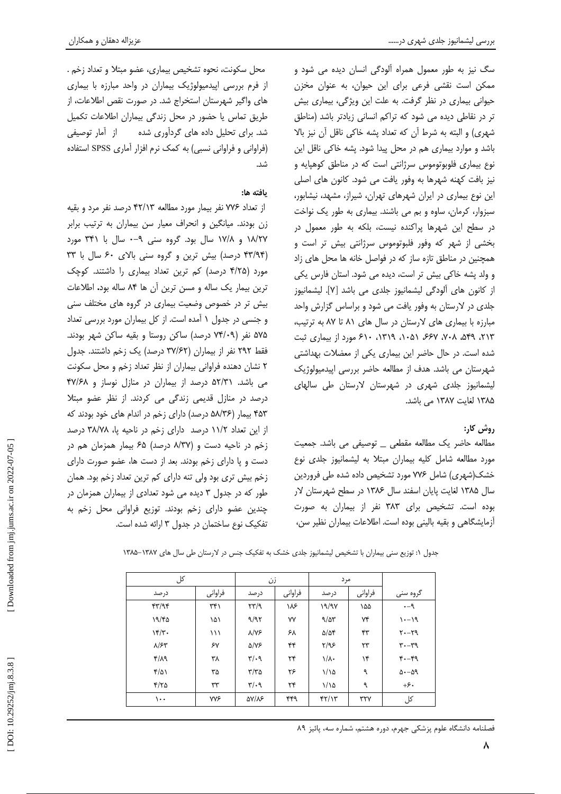سگ نیز به طور معمول همراه آلودگی انسان دیده می شود و ممکن است نقشی فرعی برای این حیوان، به عنوان مخزن حیوانی بیماری در نظر گرفت. به علت این ویژگی، بیماری بیش تر در نقاطی دیده می شود که تراکم انسانی زیادتر باشد (مناطق شهري) و البته به شرط آن كه تعداد پشه خاكي ناقل آن نيز بالا باشد و موارد بیماری هم در محل پیدا شود. پشه خاکی ناقل این نوع بیماری فلوبوتوموس سرژانتی است که در مناطق کوهپایه و نیز بافت کهنه شهرها به وفور یافت می شود. کانون های اصلی این نوع بیماری در ایران شهرهای تهران، شیراز، مشهد، نیشابور، سبزوار، کرمان، ساوه و بم می باشند. بیماری به طور یک نواخت در سطح این شهرها پراکنده نیست، بلکه به طور معمول در بخشی از شهر که وفور فلبوتوموس سرژانتی بیش تر است و همچنین در مناطق تازه ساز که در فواصل خانه ها محل های زاد و ولد يشه خاكي بيش تر است، ديده مي شود. استان فارس يكي از كانون هاي آلودگي ليشمانيوز جلدي مي باشد [٧]. ليشمانيوز جلدی در لارستان به وفور یافت می شود و براساس گزارش واحد مبارزه با بیماری های لارستان در سال های ۸۱ تا ۸۷ به ترتیب، ۲۱۳، ۵۴۹، ۲۰۸، ۶۶۷، ۲۰۵۱، ۲۱۹، ۶۱۰، ۶۱۰ مورد از بیماری ثبت شده است. در حال حاضر این بیماری یکی از معضلات بهداشتی شهرستان می باشد. هدف از مطالعه حاضر بررسی ایپدمیولوژیک لیشمانیوز جلدی شهری در شهرستان لارستان طی سالهای ۱۳۸۵ لغایت ۱۳۸۷ می باشد.

# روش کار:

مطالعه حاضر یک مطالعه مقطعی \_ توصیفی می باشد. جمعیت مورد مطالعه شامل کلیه بیماران مبتلا به لیشمانیوز جلدی نوع خشک(شهری) شامل ۷۷۶ مورد تشخیص داده شده طی فروردین سال ۱۳۸۵ لغایت پایان اسفند سال ۱۳۸۶ در سطح شهرستان لار بوده است. تشخیص برای ۳۸۳ نفر از بیماران به صورت آزمایشگاهی و بقیه بالینی بوده است. اطلاعات بیماران نظیر سن،

محل سکونت، نحوه تشخیص بیماری، عضو مبتلا و تعداد زخم . از فرم بررسی اپیدمیولوژیک بیماران در واحد مبارزه با بیماری های واگیر شهرستان استخراج شد. در صورت نقص اطلاعات، از طریق تماس یا حضور در محل زندگی بیماران اطلاعات تکمیل شد. برای تحلیل داده های گردآوری شده داز آمار توصیفی (فراوانی و فراوانی نسبی) به کمک نرم افزار آماری SPSS استفاده شد.

# يافته ها:

از تعداد ۷۷۶ نفر بیمار مورد مطالعه ۴۲/۱۳ درصد نفر مرد و بقیه زن بودند. میانگین و انحراف معیار سن بیماران به ترتیب برابر ۱۸/۲۷ و ۱۷/۸ سال بود. گروه سنی ۹-۰ سال با ۳۴۱ مورد (۴۳/۹۴ درصد) بیش ترین و گروه سنی بالای ۶۰ سال با ۳۳ مورد (۴/۲۵ درصد) کم ترین تعداد بیماری را داشتند. کوچک ترین بیمار یک ساله و مسن ترین آن ها ۸۴ ساله بود. اطلاعات بیش تر در خصوص وضعیت بیماری در گروه های مختلف سنی و جنسی در جدول ۱ آمده است. از کل بیماران مورد بررسی تعداد ۵۷۵ نفر (۷۴/۰۹ درصد) ساکن روستا و بقیه ساکن شهر بودند. فقط ۲۹۲ نفر از بیماران (۳۷/۶۲ درصد) یک زخم داشتند. جدول ۲ نشان دهنده فراوانی بیماران از نظر تعداد زخم و محل سکونت می باشد. ۵۲/۳۱ درصد از بیماران در منازل نوساز و ۴۷/۶۸ درصد در منازل قدیمی زندگی می کردند. از نظر عضو مبتلا ۴۵۳ بیمار (۵۸/۳۶ درصد) دارای زخم در اندام های خود بودند که از این تعداد ۱۱/۲ درصد دارای زخم در ناحیه یا، ۳۸/۷۸ درصد زخم در ناحیه دست و (۸/۳۷ درصد) ۶۵ بیمار همزمان هم در دست و یا دارای زخم بودند. بعد از دست ها، عضو صورت دارای زخم بیش تری بود ولی تنه دارای کم ترین تعداد زخم بود. همان طور که در جدول ۳ دیده می شود تعدادی از بیماران همزمان در چندین عضو دارای زخم بودند. توزیع فراوانی محل زخم به تفکیک نوع ساختمان در جدول ۳ ارائه شده است.

جدول ١: توزيع سنى بيماران با تشخيص ليشمانيوز جلدى خشك به تفكيك جنس در لارستان طى سال هاى ١٣٨٧-١٣٨٥

| کل                 |                    | زن                             |         | مرد                  |         |                     |
|--------------------|--------------------|--------------------------------|---------|----------------------|---------|---------------------|
| در صد              | فراوانى            | در صد                          | فراوانى | در صد                | فراوانى | گروه سنی            |
| $f\uparrow/\eta f$ | $\uparrow\uparrow$ | $\mathcal{N}(\mathcal{A})$     | ۱۸۶     | 19/9V                | ۱۵۵     | $-9$                |
| 19/60              | ۱۵۱                | 9/97                           | ٧Y      | 9/27                 | ٧۴      | $91 - 19$           |
| $\frac{1}{\gamma}$ | ۱۱۱                | $\lambda/\gamma$ ۶             | ۶۸      | $\Delta/\Delta f$    | ۴۳      | $Y - Y$             |
| $\lambda$ /۶۳      | ۶٧                 | $\Delta/\mathrm{V}\mathcal{F}$ | ۴۴      | Y/95                 | ۲۳      | $r - r$             |
| $f/\lambda$        | ٣٨                 | $\mathbf{r}/\cdot \mathbf{q}$  | ٢۴      | $1/\lambda$          | ۱۴      | $f - f$             |
| $\frac{1}{2}$      | ۳۵                 | $\tau/\tau$ ۵                  | ۲۶      | 1/10                 | ٩       | $\Delta - \Delta$ ۹ |
| $Y/\gamma$         | ٣٣                 | $\mathbf{r}/\cdot \mathbf{q}$  | ٢۴      | $1/\lambda$          | ٩       | $+5.$               |
| $\cdots$           | <b>YYS</b>         | $\Delta V/\Lambda S$           | ۴۴۹     | $f\uparrow/\upgamma$ | ٣٢٧     | کل                  |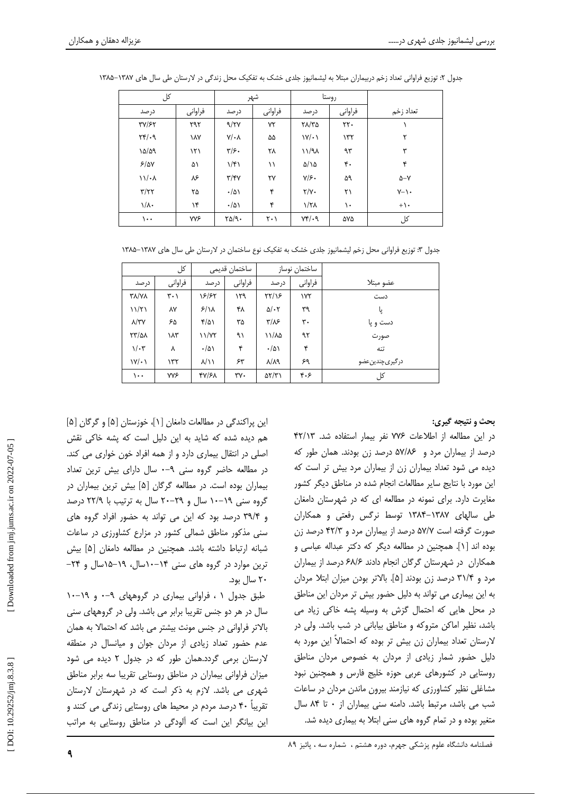| کل                                   |            | شهر                       |                               | روستا                           |                             |                 |
|--------------------------------------|------------|---------------------------|-------------------------------|---------------------------------|-----------------------------|-----------------|
| در صد                                | فراوانى    | در صد                     | فراوانى                       | در صد                           | فراوانى                     | تعداد زخم       |
| <b>٣٧/۶٢</b>                         | ۲۹۲        | 9/7V                      | ٧٢                            | $Y\Lambda/Y$ ۵                  | $\mathsf{Y}\mathsf{Y}\cdot$ |                 |
| $\mathbf{Y} \mathbf{Y} / \mathbf{Y}$ | ١٨٧        | $Y/\cdot \Lambda$         | ۵۵                            | $\mathcal{W}/\cdot \mathcal{V}$ | $\gamma \gamma$             | ۲               |
| 10/09                                | ۱۲۱        | $\mathbf{y}/\mathbf{y}$ . | ٢٨                            | $\lambda$ /۱/۹                  | ۹۳                          | ٣               |
| 5/8V                                 | ۵۱         | 1/f                       | ۱۱                            | $\Delta/\lambda$                | ۴٠                          | ۴               |
| $\mathcal{N}/\mathcal{N}$            | ٨۶         | $\tau/\tau\gamma$         | ٢٧                            | $Y/\mathcal{F}$ .               | ۵۹                          | $\Delta - Y$    |
| $\tau/\tau\tau$                      | ۲۵         | $\cdot/\Delta$            | ۴                             | $\gamma/\gamma$ .               | ۲۱                          | $Y - \lambda$   |
| $\setminus/\Lambda$                  | ۱۴         | $\cdot/\Delta$            | ۴                             | $1/7\lambda$                    | ۱۰                          | $+ \rightarrow$ |
| $\cdots$                             | <b>YYS</b> | $\Gamma \Delta / 9.$      | $\mathsf{Y} \cdot \mathsf{Y}$ | $Yf \cdot q$                    | ۵۷۵                         | کل              |

جدول ۲: توزیع فراوانی تعداد زخم دربیماران مبتلا به لیشمانیوز جلدی خشک به تفکیک محل زندگی در لارستان طی سال های ۱۳۸۷–۱۳۸۵

جدول ۳: توزیع فراوانی محل زخم لیشمانیوز جلدی خشک به تفکیک نوع ساختمان در لارستان طی سال های ۱۳۸۷–۱۳۸۵

| کل                   |                               | ساختمان قديمى     |         | ساختمان نوساز       |         |                |
|----------------------|-------------------------------|-------------------|---------|---------------------|---------|----------------|
| در صد                | فراوانى                       | در صد             | فراواني | در صد               | فراواني | عضو مبتلا      |
| <b>TA/VA</b>         | $\mathbf{r} \cdot \mathbf{y}$ | 18/85             | ۱۲۹     | ۲۲/۱۶               | ۱۷۲     | دست            |
| 11/71                | ۸۷                            | $5/\lambda$       | ۴۸      | $\Delta/\cdot 7$    | ٣٩      | پا             |
| $\lambda$ /٣٧        | ۶۵                            | $\frac{1}{2}$     | ۳۵      | $\frac{1}{2}$       | ٣٠      | دست و یا       |
| <b>TT/QA</b>         | ۱۸۳                           | 11/77             | ۹١      | ۱۱/۸۵               | ۹۲      | صورت           |
| $1/\cdot 7$          | ٨                             | $\cdot/\Delta$    | ۴       | $\cdot/\Delta$      | ۴       | تنه            |
| $\mathcal{W}(\cdot)$ | ۱۳۲                           | $\lambda/\lambda$ | ۶۳      | $\lambda/\lambda$ ٩ | ۶۹      | درگیریچندینعضو |
| ۱۰۰                  | <b>YYS</b>                    | 41/61             | ٣γ۰     | $\Delta Y/Y$        | ۴۰۶     | کل             |

## **بحث و نتيجه گيري:**

در این مطالعه از اطلاعات ۷۷۶ نفر بیمار استفاده شد. ۴۲/۱۳ درصد از بیماران مرد و ۵۷/۸۶ درصد زن بودند. همان طور که دیده می شود تعداد بیماران زن از بیماران مرد بیش تر است که این مورد با نتایج سایر مطالعات انجام شده در مناطق دیگر کشور مغایرت دارد. برای نمونه در مطالعه ای که در شهرستان دامغان طی سالهای ۱۳۸۷–۱۳۸۴ توسط نرگس رفعتی و همکاران صورت گرفته است ۵۷/۷ درصد از بیماران مرد و ۴۲/۳ درصد زن بوده اند [۱]. همچنین در مطالعه دیگر که دکتر عبداله عباسی و همکاران در شهرستان گرگان انجام دادند ۶۸/۶ درصد از بیماران مرد و ۳۱/۴ درصد زن بودند [۵]. بالاتر بودن میزان ابتلا مردان به این بیماری می تواند به دلیل حضور بیش تر مردان این مناطق در محل هایی که احتمال گزش به وسیله پشه خاکی زیاد می باشد، نظیر اماکن متروکه و مناطق بیابانی در شب باشد. ولی در لارستان تعداد بیماران زن بیش تر بوده که احتمالاً این مورد به دلیل حضور شمار زیادی از مردان به خصوص مردان مناطق روستایی در کشورهای عربی حوزه خلیج فارس و همچنین نبود مشاغلی نظیر کشاورزی که نیازمند بیرون ماندن مردان در ساعات شب می باشد، مرتبط باشد. دامنه سنی بیماران از ۰ تا ۸۴ سال متغیر بوده و در تمام گروه های سنی ابتلا به بیماری دیده شد.

این پراکندگی در مطالعات دامغان [۱]، خوزستان [۵] و گرگان [۵] هم دیده شده که شاید به این دلیل است که پشه خاکی نقش اصلی در انتقال بیماری دارد و از همه افراد خون خواری می کند. در مطالعه حاضر گروه سنی ۹-۰ سال دارای بیش ترین تعداد بیماران بوده است. در مطالعه گرگان [۵] بیش ترین بیماران در گروه سنی ۱۹–۱۰ سال و ۲۹–۲۰ سال به ترتیب با ۲۲/۹ درصد و ٣٩/۴ درصد بود كه اين مى تواند به حضور افراد گروه هاى سنی مذکور مناطق شمالی کشور در مزارع کشاورزی در ساعات شبانه ارتباط داشته باشد. همچنین در مطالعه دامغان [۵] بیش ترین موارد در گروه های سنی ۱۴-۱۰سال، ۱۹-۱۵سال و ۲۴-۲۰ سال بود.

طبق جدول ۱، فراوانی بیماری در گروههای ۹-۰ و ۱۹-۱۰ سال در هر دو جنس تقریبا برابر می باشد. ولی در گروههای سنی بالاتر فراوانی در جنس مونث بیشتر می باشد که احتمالا به همان عدم حضور تعداد زیادی از مردان جوان و میانسال در منطقه لارستان برمی گردد.همان طور که در جدول ۲ دیده می شود میزان فراوانی بیماران در مناطق روستایی تقریبا سه برابر مناطق شهری می باشد. لازم به ذکر است که در شهرستان لارستان تقریباً ۴۰ درصد مردم در محیط های روستایی زندگی می کنند و این بیانگر این است که آلودگی در مناطق روستایی به مراتب

٩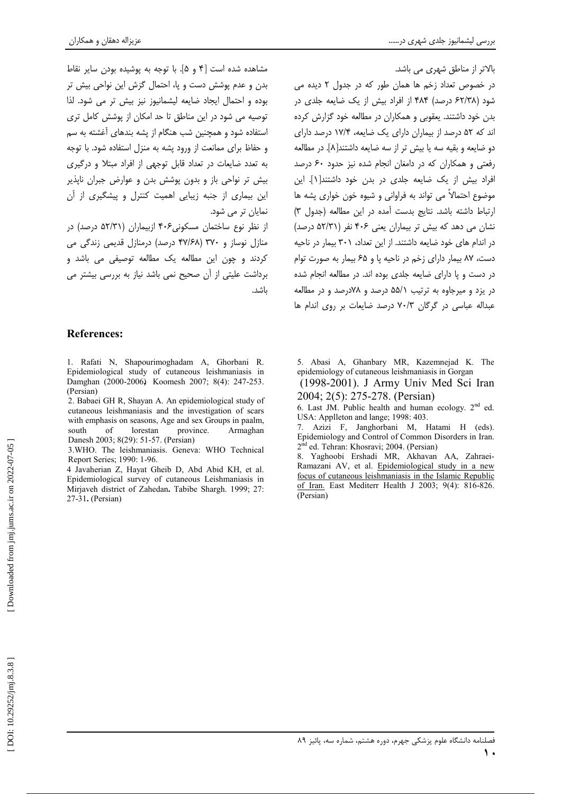مشاهده شده است [۴ و ۵]. با توجه به یوشیده بودن سایر نقاط بدن و عدم پوشش دست و یا، احتمال گزش این نواحی بیش تر بوده و احتمال ایجاد ضایعه لیشمانیوز نیز بیش تر می شود. لذا توصیه می شود در این مناطق تا حد امکان از پوشش کامل تری استفاده شود و همچنین شب هنگام از پشه بندهای آغشته به سم و حفاظ برای ممانعت از ورود پشه به منزل استفاده شود. با توجه به تعدد ضایعات در تعداد قابل توجهی از افراد مبتلا و درگیری بیش تر نواحی باز و بدون پوشش بدن و عوارض جبران ناپذیر این بیماری از جنبه زیبایی اهمیت کنترل و پیشگیری از آن نمایان تر می شود.

از نظر نوع ساختمان مسکونی ۴۰۶ ازبیماران (۵۲/۳۱ درصد) در منازل نوساز و ۳۷۰ (۴۷/۶۸ درصد) درمنازل قدیمی زندگی می کردند و چون این مطالعه یک مطالعه توصیفی می باشد و برداشت علیتی از آن صحیح نمی باشد نیاز به بررسی بیشتر می باشد.

# **References:**

1. Rafati N, Shapourimoghadam A, Ghorbani R. Epidemiological study of cutaneous leishmaniasis in Damghan (2000-2006) Koomesh 2007; 8(4): 247-253. (Persian)

2. Babaei GH R, Shayan A. An epidemiological study of cutaneous leishmaniasis and the investigation of scars with emphasis on seasons, Age and sex Groups in paalm, south of lorestan province. Armaghan Danesh 2003: 8(29): 51-57. (Persian)

3. WHO. The leishmaniasis. Geneva: WHO Technical Report Series; 1990: 1-96.

4 Javaherian Z, Hayat Gheib D, Abd Abid KH, et al. Epidemiological survey of cutaneous Leishmaniasis in Mirjaveh district of Zahedan. Tabibe Shargh. 1999; 27: 27-31. (Persian)

بالاتر از مناطق شهری می باشد.

در خصوص تعداد زخم ها همان طور که در جدول ۲ دیده می شود (۶۲/۳۸ درصد) ۴۸۴ از افراد بیش از یک ضایعه جلدی در بدن خود داشتند. یعقوبی و همکاران در مطالعه خود گزارش کرده اند که ۵۲ درصد از بیماران دارای یک ضایعه، ۱۷/۴ درصد دارای دو ضايعه و بقيه سه يا بيش تر از سه ضايعه داشتند[٨]. در مطالعه رفعتی و همکاران که در دامغان انجام شده نیز حدود ۶۰ درصد افراد بیش از یک ضایعه جلدی در بدن خود داشتند[۱]. این موضوع احتمالاً می تواند به فراوانی و شیوه خون خواری پشه ها ارتباط داشته باشد. نتايج بدست آمده در اين مطالعه (جدول ٣) نشان می دهد که بیش تر بیماران یعنی ۴۰۶ نفر (۵۲/۳۱ درصد) در اندام های خود ضایعه داشتند. از این تعداد، ۳۰۱ بیمار در ناحیه دست، ۸۷ بیمار دارای زخم در ناحیه یا و ۶۵ بیمار به صورت توام در دست و یا دارای ضایعه جلدی بوده اند. در مطالعه انجام شده در یزد و میرجاوه به ترتیب ۵۵/۱ درصد و ۷۸درصد و در مطالعه عبداله عباسی در گرگان ۷۰/۳ درصد ضایعات بر روی اندام ها

5. Abasi A, Ghanbary MR, Kazemnejad K. The epidemiology of cutaneous leishmaniasis in Gorgan

(1998-2001). J Army Univ Med Sci Iran 2004; 2(5): 275-278. (Persian)

6. Last JM. Public health and human ecology.  $2<sup>nd</sup>$  ed. USA: Applleton and lange; 1998: 403.

7. Azizi F, Janghorbani M, Hatami H (eds). Epidemiology and Control of Common Disorders in Iran. 2<sup>nd</sup> ed. Tehran: Khosravi; 2004. (Persian)

8. Yaghoobi Ershadi MR, Akhavan AA, Zahraei-Ramazani AV, et al. Epidemiological study in a new focus of cutaneous leishmaniasis in the Islamic Republic of Iran. East Mediterr Health J 2003; 9(4): 816-826. (Persian)